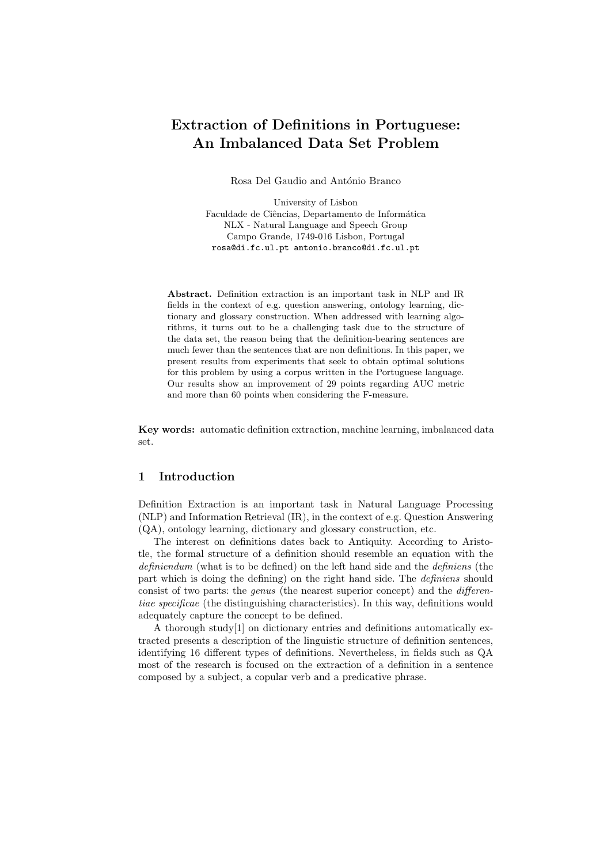# Extraction of Definitions in Portuguese: An Imbalanced Data Set Problem

Rosa Del Gaudio and António Branco

University of Lisbon Faculdade de Ciências, Departamento de Informática NLX - Natural Language and Speech Group Campo Grande, 1749-016 Lisbon, Portugal rosa@di.fc.ul.pt antonio.branco@di.fc.ul.pt

Abstract. Definition extraction is an important task in NLP and IR fields in the context of e.g. question answering, ontology learning, dictionary and glossary construction. When addressed with learning algorithms, it turns out to be a challenging task due to the structure of the data set, the reason being that the definition-bearing sentences are much fewer than the sentences that are non definitions. In this paper, we present results from experiments that seek to obtain optimal solutions for this problem by using a corpus written in the Portuguese language. Our results show an improvement of 29 points regarding AUC metric and more than 60 points when considering the F-measure.

Key words: automatic definition extraction, machine learning, imbalanced data set.

## 1 Introduction

Definition Extraction is an important task in Natural Language Processing (NLP) and Information Retrieval (IR), in the context of e.g. Question Answering (QA), ontology learning, dictionary and glossary construction, etc.

The interest on definitions dates back to Antiquity. According to Aristotle, the formal structure of a definition should resemble an equation with the definiendum (what is to be defined) on the left hand side and the definiens (the part which is doing the defining) on the right hand side. The definiens should consist of two parts: the genus (the nearest superior concept) and the differentiae specificae (the distinguishing characteristics). In this way, definitions would adequately capture the concept to be defined.

A thorough study[1] on dictionary entries and definitions automatically extracted presents a description of the linguistic structure of definition sentences, identifying 16 different types of definitions. Nevertheless, in fields such as QA most of the research is focused on the extraction of a definition in a sentence composed by a subject, a copular verb and a predicative phrase.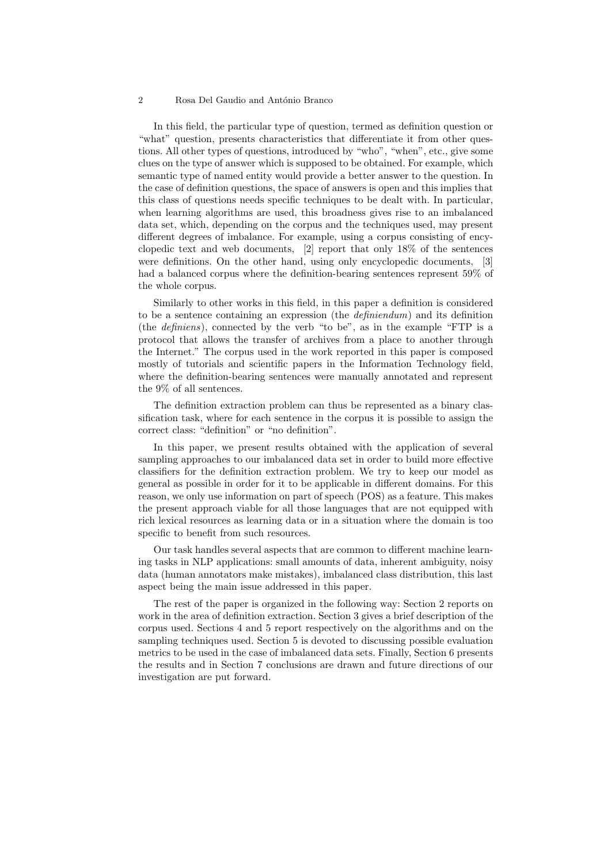In this field, the particular type of question, termed as definition question or "what" question, presents characteristics that differentiate it from other questions. All other types of questions, introduced by "who", "when", etc., give some clues on the type of answer which is supposed to be obtained. For example, which semantic type of named entity would provide a better answer to the question. In the case of definition questions, the space of answers is open and this implies that this class of questions needs specific techniques to be dealt with. In particular, when learning algorithms are used, this broadness gives rise to an imbalanced data set, which, depending on the corpus and the techniques used, may present different degrees of imbalance. For example, using a corpus consisting of encyclopedic text and web documents, [2] report that only 18% of the sentences were definitions. On the other hand, using only encyclopedic documents, [3] had a balanced corpus where the definition-bearing sentences represent 59% of the whole corpus.

Similarly to other works in this field, in this paper a definition is considered to be a sentence containing an expression (the definiendum) and its definition (the definiens), connected by the verb "to be", as in the example "FTP is a protocol that allows the transfer of archives from a place to another through the Internet." The corpus used in the work reported in this paper is composed mostly of tutorials and scientific papers in the Information Technology field, where the definition-bearing sentences were manually annotated and represent the 9% of all sentences.

The definition extraction problem can thus be represented as a binary classification task, where for each sentence in the corpus it is possible to assign the correct class: "definition" or "no definition".

In this paper, we present results obtained with the application of several sampling approaches to our imbalanced data set in order to build more effective classifiers for the definition extraction problem. We try to keep our model as general as possible in order for it to be applicable in different domains. For this reason, we only use information on part of speech (POS) as a feature. This makes the present approach viable for all those languages that are not equipped with rich lexical resources as learning data or in a situation where the domain is too specific to benefit from such resources.

Our task handles several aspects that are common to different machine learning tasks in NLP applications: small amounts of data, inherent ambiguity, noisy data (human annotators make mistakes), imbalanced class distribution, this last aspect being the main issue addressed in this paper.

The rest of the paper is organized in the following way: Section 2 reports on work in the area of definition extraction. Section 3 gives a brief description of the corpus used. Sections 4 and 5 report respectively on the algorithms and on the sampling techniques used. Section 5 is devoted to discussing possible evaluation metrics to be used in the case of imbalanced data sets. Finally, Section 6 presents the results and in Section 7 conclusions are drawn and future directions of our investigation are put forward.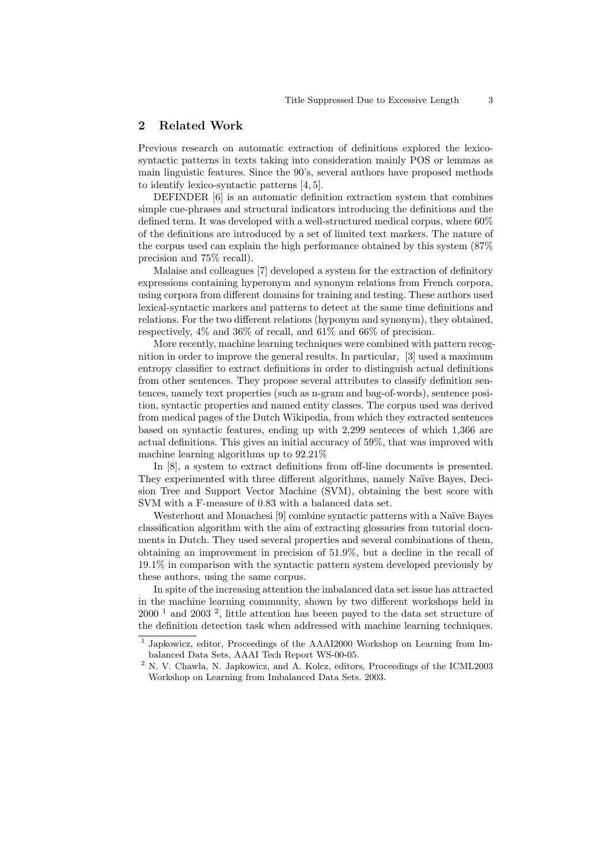# 2 Related Work

Previous research on automatic extraction of definitions explored the lexicosyntactic patterns in texts taking into consideration mainly POS or lemmas as main linguistic features. Since the 90's, several authors have proposed methods to identify lexico-syntactic patterns [4, 5].

DEFINDER [6] is an automatic definition extraction system that combines simple cue-phrases and structural indicators introducing the definitions and the defined term. It was developed with a well-structured medical corpus, where 60% of the definitions are introduced by a set of limited text markers. The nature of the corpus used can explain the high performance obtained by this system (87% precision and 75% recall).

Malaise and colleagues [7] developed a system for the extraction of definitory expressions containing hyperonym and synonym relations from French corpora, using corpora from different domains for training and testing. These authors used lexical-syntactic markers and patterns to detect at the same time definitions and relations. For the two different relations (hyponym and synonym), they obtained, respectively, 4% and 36% of recall, and 61% and 66% of precision.

More recently, machine learning techniques were combined with pattern recognition in order to improve the general results. In particular, [3] used a maximum entropy classifier to extract definitions in order to distinguish actual definitions from other sentences. They propose several attributes to classify definition sentences, namely text properties (such as n-gram and bag-of-words), sentence position, syntactic properties and named entity classes. The corpus used was derived from medical pages of the Dutch Wikipedia, from which they extracted sentences based on syntactic features, ending up with 2,299 senteces of which 1,366 are actual definitions. This gives an initial accuracy of 59%, that was improved with machine learning algorithms up to 92.21%

In [8], a system to extract definitions from off-line documents is presented. They experimented with three different algorithms, namely Naïve Bayes, Decision Tree and Support Vector Machine (SVM), obtaining the best score with SVM with a F-measure of 0.83 with a balanced data set.

Westerhout and Monachesi [9] combine syntactic patterns with a Naïve Bayes classification algorithm with the aim of extracting glossaries from tutorial documents in Dutch. They used several properties and several combinations of them, obtaining an improvement in precision of 51.9%, but a decline in the recall of 19.1% in comparison with the syntactic pattern system developed previously by these authors, using the same corpus.

In spite of the increasing attention the imbalanced data set issue has attracted in the machine learning community, shown by two different workshops held in  $2000^{-1}$  and  $2003^{-2}$ , little attention has beeen payed to the data set structure of the definition detection task when addressed with machine learning techniques.

<sup>&</sup>lt;sup>1</sup> Japkowicz, editor, Proceedings of the AAAI2000 Workshop on Learning from Imbalanced Data Sets, AAAI Tech Report WS-00-05.

<sup>&</sup>lt;sup>2</sup> N. V. Chawla, N. Japkowicz, and A. Kolcz, editors, Proceedings of the ICML2003 Workshop on Learning from Imbalanced Data Sets. 2003.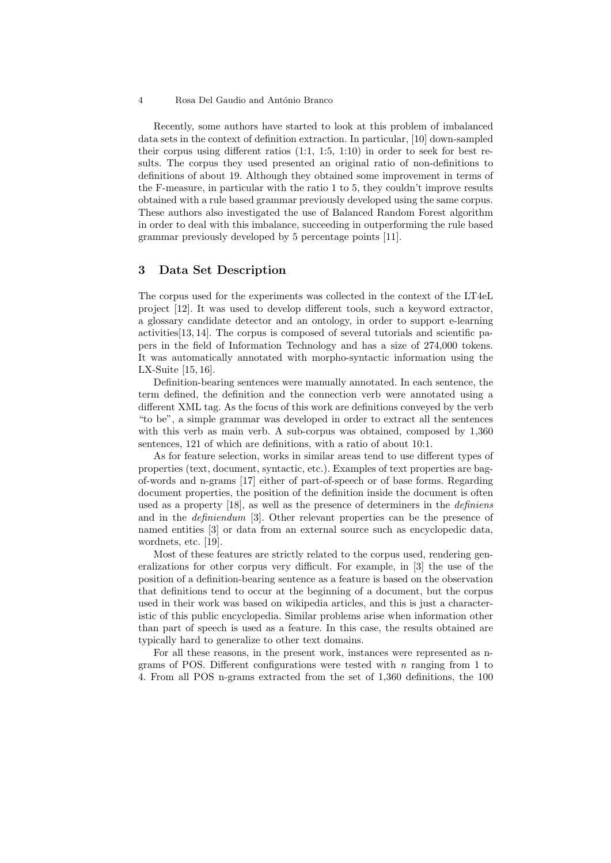Recently, some authors have started to look at this problem of imbalanced data sets in the context of definition extraction. In particular, [10] down-sampled their corpus using different ratios (1:1, 1:5, 1:10) in order to seek for best results. The corpus they used presented an original ratio of non-definitions to definitions of about 19. Although they obtained some improvement in terms of the F-measure, in particular with the ratio 1 to 5, they couldn't improve results obtained with a rule based grammar previously developed using the same corpus. These authors also investigated the use of Balanced Random Forest algorithm in order to deal with this imbalance, succeeding in outperforming the rule based grammar previously developed by 5 percentage points [11].

# 3 Data Set Description

The corpus used for the experiments was collected in the context of the LT4eL project [12]. It was used to develop different tools, such a keyword extractor, a glossary candidate detector and an ontology, in order to support e-learning activities[13, 14]. The corpus is composed of several tutorials and scientific papers in the field of Information Technology and has a size of 274,000 tokens. It was automatically annotated with morpho-syntactic information using the LX-Suite [15, 16].

Definition-bearing sentences were manually annotated. In each sentence, the term defined, the definition and the connection verb were annotated using a different XML tag. As the focus of this work are definitions conveyed by the verb "to be", a simple grammar was developed in order to extract all the sentences with this verb as main verb. A sub-corpus was obtained, composed by 1,360 sentences, 121 of which are definitions, with a ratio of about 10:1.

As for feature selection, works in similar areas tend to use different types of properties (text, document, syntactic, etc.). Examples of text properties are bagof-words and n-grams [17] either of part-of-speech or of base forms. Regarding document properties, the position of the definition inside the document is often used as a property [18], as well as the presence of determiners in the *definiens* and in the *definiendum* [3]. Other relevant properties can be the presence of named entities [3] or data from an external source such as encyclopedic data, wordnets, etc. [19].

Most of these features are strictly related to the corpus used, rendering generalizations for other corpus very difficult. For example, in [3] the use of the position of a definition-bearing sentence as a feature is based on the observation that definitions tend to occur at the beginning of a document, but the corpus used in their work was based on wikipedia articles, and this is just a characteristic of this public encyclopedia. Similar problems arise when information other than part of speech is used as a feature. In this case, the results obtained are typically hard to generalize to other text domains.

For all these reasons, in the present work, instances were represented as ngrams of POS. Different configurations were tested with  $n$  ranging from 1 to 4. From all POS n-grams extracted from the set of 1,360 definitions, the 100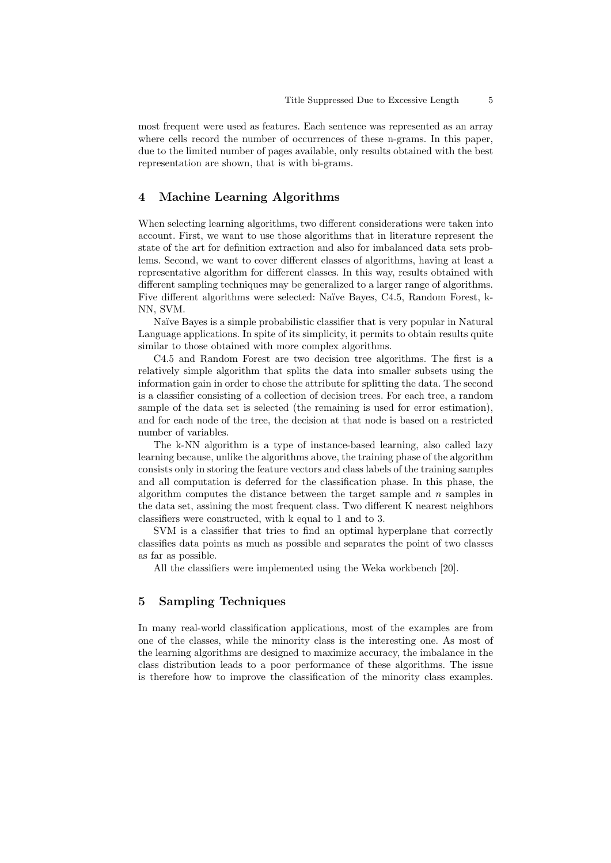most frequent were used as features. Each sentence was represented as an array where cells record the number of occurrences of these n-grams. In this paper, due to the limited number of pages available, only results obtained with the best representation are shown, that is with bi-grams.

# 4 Machine Learning Algorithms

When selecting learning algorithms, two different considerations were taken into account. First, we want to use those algorithms that in literature represent the state of the art for definition extraction and also for imbalanced data sets problems. Second, we want to cover different classes of algorithms, having at least a representative algorithm for different classes. In this way, results obtained with different sampling techniques may be generalized to a larger range of algorithms. Five different algorithms were selected: Naïve Bayes, C4.5, Random Forest, k-NN, SVM.

Naïve Bayes is a simple probabilistic classifier that is very popular in Natural Language applications. In spite of its simplicity, it permits to obtain results quite similar to those obtained with more complex algorithms.

C4.5 and Random Forest are two decision tree algorithms. The first is a relatively simple algorithm that splits the data into smaller subsets using the information gain in order to chose the attribute for splitting the data. The second is a classifier consisting of a collection of decision trees. For each tree, a random sample of the data set is selected (the remaining is used for error estimation), and for each node of the tree, the decision at that node is based on a restricted number of variables.

The k-NN algorithm is a type of instance-based learning, also called lazy learning because, unlike the algorithms above, the training phase of the algorithm consists only in storing the feature vectors and class labels of the training samples and all computation is deferred for the classification phase. In this phase, the algorithm computes the distance between the target sample and *n* samples in the data set, assining the most frequent class. Two different K nearest neighbors classifiers were constructed, with k equal to 1 and to 3.

SVM is a classifier that tries to find an optimal hyperplane that correctly classifies data points as much as possible and separates the point of two classes as far as possible.

All the classifiers were implemented using the Weka workbench [20].

# 5 Sampling Techniques

In many real-world classification applications, most of the examples are from one of the classes, while the minority class is the interesting one. As most of the learning algorithms are designed to maximize accuracy, the imbalance in the class distribution leads to a poor performance of these algorithms. The issue is therefore how to improve the classification of the minority class examples.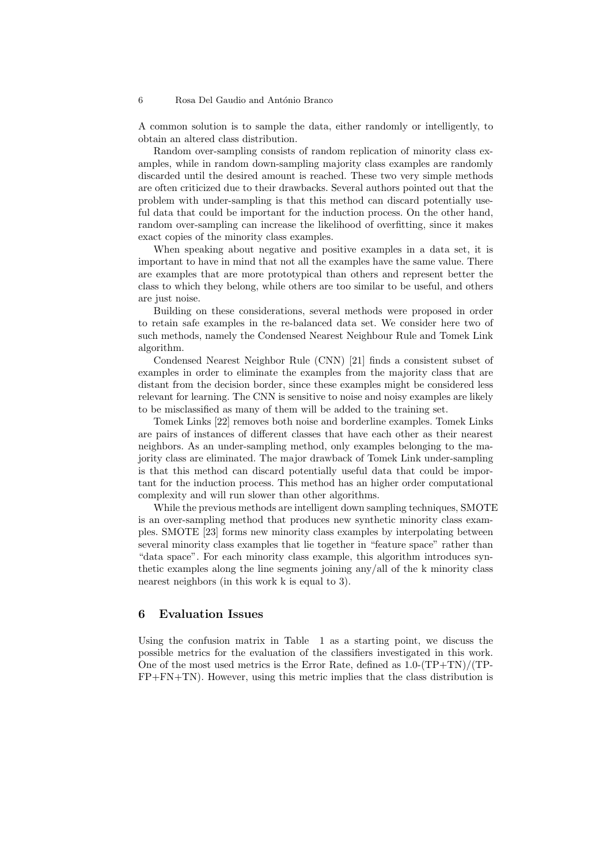A common solution is to sample the data, either randomly or intelligently, to obtain an altered class distribution.

Random over-sampling consists of random replication of minority class examples, while in random down-sampling majority class examples are randomly discarded until the desired amount is reached. These two very simple methods are often criticized due to their drawbacks. Several authors pointed out that the problem with under-sampling is that this method can discard potentially useful data that could be important for the induction process. On the other hand, random over-sampling can increase the likelihood of overfitting, since it makes exact copies of the minority class examples.

When speaking about negative and positive examples in a data set, it is important to have in mind that not all the examples have the same value. There are examples that are more prototypical than others and represent better the class to which they belong, while others are too similar to be useful, and others are just noise.

Building on these considerations, several methods were proposed in order to retain safe examples in the re-balanced data set. We consider here two of such methods, namely the Condensed Nearest Neighbour Rule and Tomek Link algorithm.

Condensed Nearest Neighbor Rule (CNN) [21] finds a consistent subset of examples in order to eliminate the examples from the majority class that are distant from the decision border, since these examples might be considered less relevant for learning. The CNN is sensitive to noise and noisy examples are likely to be misclassified as many of them will be added to the training set.

Tomek Links [22] removes both noise and borderline examples. Tomek Links are pairs of instances of different classes that have each other as their nearest neighbors. As an under-sampling method, only examples belonging to the majority class are eliminated. The major drawback of Tomek Link under-sampling is that this method can discard potentially useful data that could be important for the induction process. This method has an higher order computational complexity and will run slower than other algorithms.

While the previous methods are intelligent down sampling techniques, SMOTE is an over-sampling method that produces new synthetic minority class examples. SMOTE [23] forms new minority class examples by interpolating between several minority class examples that lie together in "feature space" rather than "data space". For each minority class example, this algorithm introduces synthetic examples along the line segments joining any/all of the k minority class nearest neighbors (in this work k is equal to 3).

# 6 Evaluation Issues

Using the confusion matrix in Table 1 as a starting point, we discuss the possible metrics for the evaluation of the classifiers investigated in this work. One of the most used metrics is the Error Rate, defined as  $1.0-(TP+TN)/(TP-$ FP+FN+TN). However, using this metric implies that the class distribution is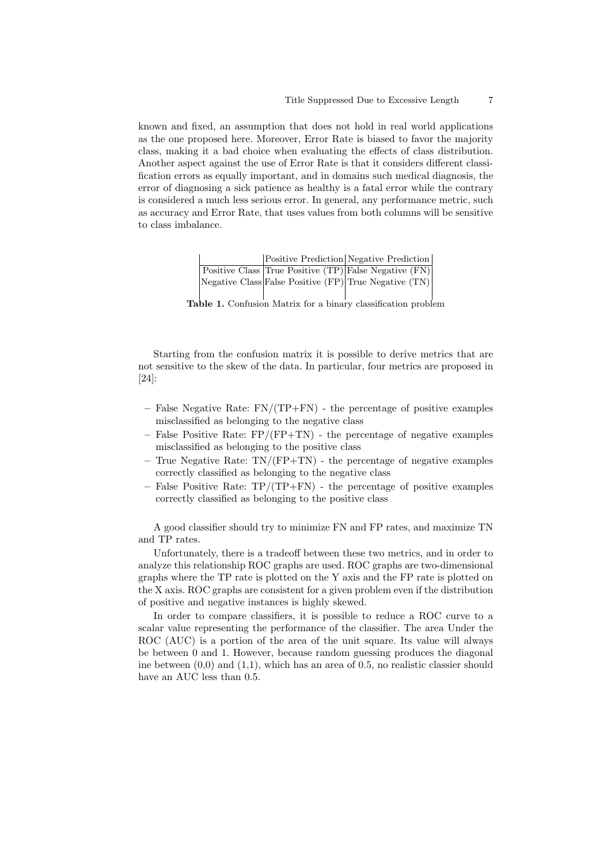known and fixed, an assumption that does not hold in real world applications as the one proposed here. Moreover, Error Rate is biased to favor the majority class, making it a bad choice when evaluating the effects of class distribution. Another aspect against the use of Error Rate is that it considers different classification errors as equally important, and in domains such medical diagnosis, the error of diagnosing a sick patience as healthy is a fatal error while the contrary is considered a much less serious error. In general, any performance metric, such as accuracy and Error Rate, that uses values from both columns will be sensitive to class imbalance.

|  | Positive Prediction Negative Prediction                      |
|--|--------------------------------------------------------------|
|  | <b>Positive Class True Positive (TP)</b> False Negative (FN) |
|  | Negative Class False Positive (FP) True Negative (TN)        |
|  |                                                              |

Table 1. Confusion Matrix for a binary classification problem

Starting from the confusion matrix it is possible to derive metrics that are not sensitive to the skew of the data. In particular, four metrics are proposed in [24]:

- $-$  False Negative Rate: FN/(TP+FN) the percentage of positive examples misclassified as belonging to the negative class
- False Positive Rate:  $FP/(FP+TN)$  the percentage of negative examples misclassified as belonging to the positive class
- True Negative Rate: TN/(FP+TN) the percentage of negative examples correctly classified as belonging to the negative class
- $-$  False Positive Rate: TP/(TP+FN) the percentage of positive examples correctly classified as belonging to the positive class

A good classifier should try to minimize FN and FP rates, and maximize TN and TP rates.

Unfortunately, there is a tradeoff between these two metrics, and in order to analyze this relationship ROC graphs are used. ROC graphs are two-dimensional graphs where the TP rate is plotted on the Y axis and the FP rate is plotted on the X axis. ROC graphs are consistent for a given problem even if the distribution of positive and negative instances is highly skewed.

In order to compare classifiers, it is possible to reduce a ROC curve to a scalar value representing the performance of the classifier. The area Under the ROC (AUC) is a portion of the area of the unit square. Its value will always be between 0 and 1. However, because random guessing produces the diagonal ine between  $(0,0)$  and  $(1,1)$ , which has an area of 0.5, no realistic classier should have an AUC less than 0.5.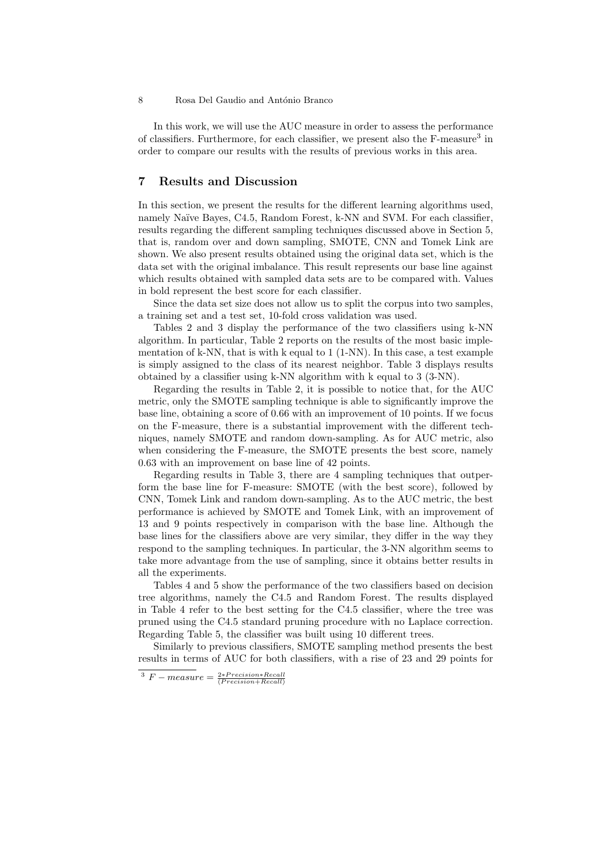In this work, we will use the AUC measure in order to assess the performance of classifiers. Furthermore, for each classifier, we present also the F-measure<sup>3</sup> in order to compare our results with the results of previous works in this area.

# 7 Results and Discussion

In this section, we present the results for the different learning algorithms used, namely Naïve Bayes, C4.5, Random Forest, k-NN and SVM. For each classifier, results regarding the different sampling techniques discussed above in Section 5, that is, random over and down sampling, SMOTE, CNN and Tomek Link are shown. We also present results obtained using the original data set, which is the data set with the original imbalance. This result represents our base line against which results obtained with sampled data sets are to be compared with. Values in bold represent the best score for each classifier.

Since the data set size does not allow us to split the corpus into two samples, a training set and a test set, 10-fold cross validation was used.

Tables 2 and 3 display the performance of the two classifiers using k-NN algorithm. In particular, Table 2 reports on the results of the most basic implementation of k-NN, that is with k equal to 1 (1-NN). In this case, a test example is simply assigned to the class of its nearest neighbor. Table 3 displays results obtained by a classifier using k-NN algorithm with k equal to 3 (3-NN).

Regarding the results in Table 2, it is possible to notice that, for the AUC metric, only the SMOTE sampling technique is able to significantly improve the base line, obtaining a score of 0.66 with an improvement of 10 points. If we focus on the F-measure, there is a substantial improvement with the different techniques, namely SMOTE and random down-sampling. As for AUC metric, also when considering the F-measure, the SMOTE presents the best score, namely 0.63 with an improvement on base line of 42 points.

Regarding results in Table 3, there are 4 sampling techniques that outperform the base line for F-measure: SMOTE (with the best score), followed by CNN, Tomek Link and random down-sampling. As to the AUC metric, the best performance is achieved by SMOTE and Tomek Link, with an improvement of 13 and 9 points respectively in comparison with the base line. Although the base lines for the classifiers above are very similar, they differ in the way they respond to the sampling techniques. In particular, the 3-NN algorithm seems to take more advantage from the use of sampling, since it obtains better results in all the experiments.

Tables 4 and 5 show the performance of the two classifiers based on decision tree algorithms, namely the C4.5 and Random Forest. The results displayed in Table 4 refer to the best setting for the C4.5 classifier, where the tree was pruned using the C4.5 standard pruning procedure with no Laplace correction. Regarding Table 5, the classifier was built using 10 different trees.

Similarly to previous classifiers, SMOTE sampling method presents the best results in terms of AUC for both classifiers, with a rise of 23 and 29 points for

 $^3$   $F - measure = \frac{2*Precision*Recall}{(Precision+Recall)}$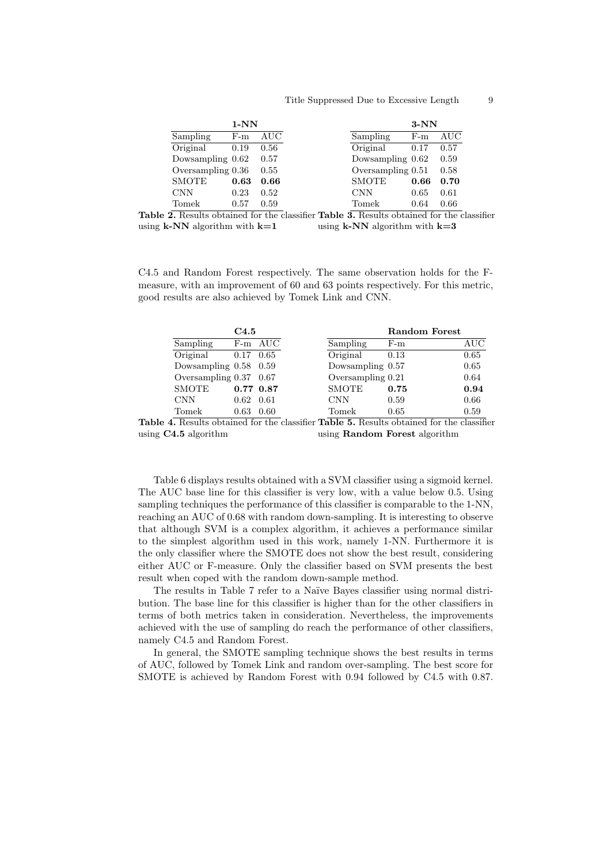#### Title Suppressed Due to Excessive Length 9

|                   | $1-NN$ |      |
|-------------------|--------|------|
| Sampling          | $F-m$  | AUC  |
| Original          | 0.19   | 0.56 |
| Dowsampling 0.62  |        | 0.57 |
| Oversampling 0.36 |        | 0.55 |
| <b>SMOTE</b>      | 0.63   | 0.66 |
| <b>CNN</b>        | 0.23   | 0.52 |
| Tomek             | 0.57   | 0.59 |

Table 2. Results obtained for the classifier Table 3. Results obtained for the classifier using  $k-NN$  algorithm with  $k=1$ using  $k-NN$  algorithm with  $k=3$ 

C4.5 and Random Forest respectively. The same observation holds for the Fmeasure, with an improvement of 60 and 63 points respectively. For this metric, good results are also achieved by Tomek Link and CNN.

|                        | C4.5          |              |                   | <b>Random Forest</b> |               |
|------------------------|---------------|--------------|-------------------|----------------------|---------------|
| Sampling               |               | F-m AUC      | Sampling          | $F-m$                | AUC           |
| Original               | $0.17$ 0.65   |              | Original          | 0.13                 | 0.65          |
| Dowsampling 0.58 0.59  |               |              | Dowsampling 0.57  |                      | 0.65          |
| Oversampling 0.37 0.67 |               |              | Oversampling 0.21 |                      | 0.64          |
| <b>SMOTE</b>           | $0.77$ $0.87$ |              | <b>SMOTE</b>      | 0.75                 | 0.94          |
| <b>CNN</b>             | 0.62          | 0.61         | <b>CNN</b>        | 0.59                 | 0.66          |
| Tomek                  | 0.63          | 0.60<br>____ | Tomek             | 0.65<br>--           | 0.59<br>_____ |

Table 4. Results obtained for the classifier Table 5. Results obtained for the classifier using C4.5 algorithm using Random Forest algorithm

Table 6 displays results obtained with a SVM classifier using a sigmoid kernel. The AUC base line for this classifier is very low, with a value below 0.5. Using sampling techniques the performance of this classifier is comparable to the 1-NN, reaching an AUC of 0.68 with random down-sampling. It is interesting to observe that although SVM is a complex algorithm, it achieves a performance similar to the simplest algorithm used in this work, namely 1-NN. Furthermore it is the only classifier where the SMOTE does not show the best result, considering either AUC or F-measure. Only the classifier based on SVM presents the best result when coped with the random down-sample method.

The results in Table 7 refer to a Naïve Bayes classifier using normal distribution. The base line for this classifier is higher than for the other classifiers in terms of both metrics taken in consideration. Nevertheless, the improvements achieved with the use of sampling do reach the performance of other classifiers, namely C4.5 and Random Forest.

In general, the SMOTE sampling technique shows the best results in terms of AUC, followed by Tomek Link and random over-sampling. The best score for SMOTE is achieved by Random Forest with 0.94 followed by C4.5 with 0.87.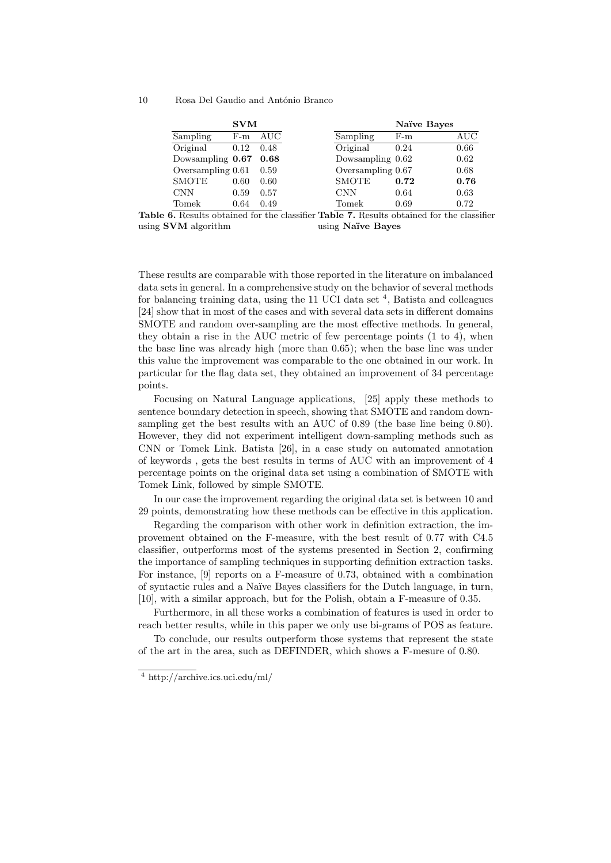|                   | <b>SVM</b> |      |                    | Naïve Bayes |           |
|-------------------|------------|------|--------------------|-------------|-----------|
| Sampling          | $F-m$      | AUC  | Sampling           | $F-m$       | $\rm AUC$ |
| Original          | 0.12       | 0.48 | Original           | 0.24        | 0.66      |
| Dowsampling 0.67  |            | 0.68 | Dowsampling $0.62$ |             | 0.62      |
| Oversampling 0.61 |            | 0.59 | Oversampling 0.67  |             | 0.68      |
| <b>SMOTE</b>      | 0.60       | 0.60 | <b>SMOTE</b>       | 0.72        | 0.76      |
| <b>CNN</b>        | 0.59       | 0.57 | CNN                | 0.64        | 0.63      |
| Tomek             | 0.64       | 0.49 | Tomek              | 0.69        | 0.72      |

Table 6. Results obtained for the classifier Table 7. Results obtained for the classifier using SVM algorithm using Naïve Bayes

These results are comparable with those reported in the literature on imbalanced data sets in general. In a comprehensive study on the behavior of several methods for balancing training data, using the 11 UCI data set  $4$ , Batista and colleagues [24] show that in most of the cases and with several data sets in different domains SMOTE and random over-sampling are the most effective methods. In general, they obtain a rise in the AUC metric of few percentage points (1 to 4), when the base line was already high (more than 0.65); when the base line was under this value the improvement was comparable to the one obtained in our work. In particular for the flag data set, they obtained an improvement of 34 percentage points.

Focusing on Natural Language applications, [25] apply these methods to sentence boundary detection in speech, showing that SMOTE and random downsampling get the best results with an AUC of 0.89 (the base line being 0.80). However, they did not experiment intelligent down-sampling methods such as CNN or Tomek Link. Batista [26], in a case study on automated annotation of keywords , gets the best results in terms of AUC with an improvement of 4 percentage points on the original data set using a combination of SMOTE with Tomek Link, followed by simple SMOTE.

In our case the improvement regarding the original data set is between 10 and 29 points, demonstrating how these methods can be effective in this application.

Regarding the comparison with other work in definition extraction, the improvement obtained on the F-measure, with the best result of 0.77 with C4.5 classifier, outperforms most of the systems presented in Section 2, confirming the importance of sampling techniques in supporting definition extraction tasks. For instance, [9] reports on a F-measure of 0.73, obtained with a combination of syntactic rules and a Na¨ıve Bayes classifiers for the Dutch language, in turn, [10], with a similar approach, but for the Polish, obtain a F-measure of 0.35.

Furthermore, in all these works a combination of features is used in order to reach better results, while in this paper we only use bi-grams of POS as feature.

To conclude, our results outperform those systems that represent the state of the art in the area, such as DEFINDER, which shows a F-mesure of 0.80.

<sup>4</sup> http://archive.ics.uci.edu/ml/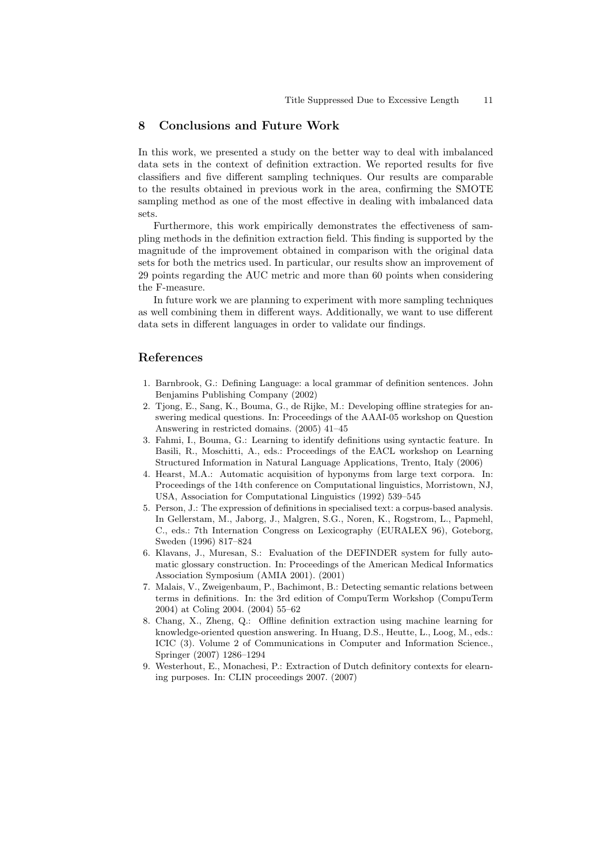### 8 Conclusions and Future Work

In this work, we presented a study on the better way to deal with imbalanced data sets in the context of definition extraction. We reported results for five classifiers and five different sampling techniques. Our results are comparable to the results obtained in previous work in the area, confirming the SMOTE sampling method as one of the most effective in dealing with imbalanced data sets.

Furthermore, this work empirically demonstrates the effectiveness of sampling methods in the definition extraction field. This finding is supported by the magnitude of the improvement obtained in comparison with the original data sets for both the metrics used. In particular, our results show an improvement of 29 points regarding the AUC metric and more than 60 points when considering the F-measure.

In future work we are planning to experiment with more sampling techniques as well combining them in different ways. Additionally, we want to use different data sets in different languages in order to validate our findings.

# References

- 1. Barnbrook, G.: Defining Language: a local grammar of definition sentences. John Benjamins Publishing Company (2002)
- 2. Tjong, E., Sang, K., Bouma, G., de Rijke, M.: Developing offline strategies for answering medical questions. In: Proceedings of the AAAI-05 workshop on Question Answering in restricted domains. (2005) 41–45
- 3. Fahmi, I., Bouma, G.: Learning to identify definitions using syntactic feature. In Basili, R., Moschitti, A., eds.: Proceedings of the EACL workshop on Learning Structured Information in Natural Language Applications, Trento, Italy (2006)
- 4. Hearst, M.A.: Automatic acquisition of hyponyms from large text corpora. In: Proceedings of the 14th conference on Computational linguistics, Morristown, NJ, USA, Association for Computational Linguistics (1992) 539–545
- 5. Person, J.: The expression of definitions in specialised text: a corpus-based analysis. In Gellerstam, M., Jaborg, J., Malgren, S.G., Noren, K., Rogstrom, L., Papmehl, C., eds.: 7th Internation Congress on Lexicography (EURALEX 96), Goteborg, Sweden (1996) 817–824
- 6. Klavans, J., Muresan, S.: Evaluation of the DEFINDER system for fully automatic glossary construction. In: Proceedings of the American Medical Informatics Association Symposium (AMIA 2001). (2001)
- 7. Malais, V., Zweigenbaum, P., Bachimont, B.: Detecting semantic relations between terms in definitions. In: the 3rd edition of CompuTerm Workshop (CompuTerm 2004) at Coling 2004. (2004) 55–62
- 8. Chang, X., Zheng, Q.: Offline definition extraction using machine learning for knowledge-oriented question answering. In Huang, D.S., Heutte, L., Loog, M., eds.: ICIC (3). Volume 2 of Communications in Computer and Information Science., Springer (2007) 1286–1294
- 9. Westerhout, E., Monachesi, P.: Extraction of Dutch definitory contexts for elearning purposes. In: CLIN proceedings 2007. (2007)